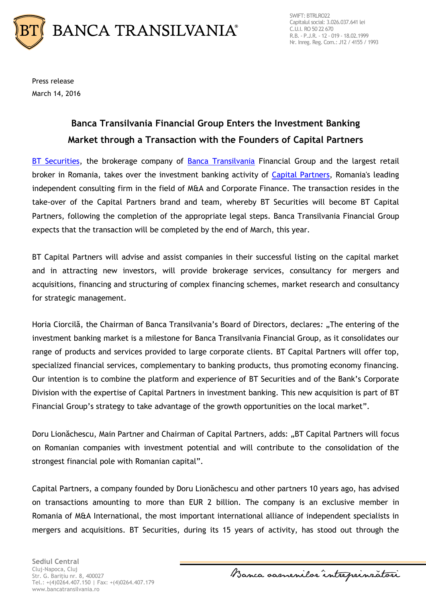

SWIFT: BTRLRO22 Capitalul social: 3.026.037.641 lei C.U.I. RO 50 22 670 R.B. - P.J.R. - 12 - 019 - 18.02.1999 Nr. Inreg. Reg. Com.: J12 / 4155 / 1993

Press release March 14, 2016

## **Banca Transilvania Financial Group Enters the Investment Banking Market through a Transaction with the Founders of Capital Partners**

[BT Securities,](http://www.btsecurities.ro/) the brokerage company of [Banca Transilvania](https://www.bancatransilvania.ro/) Financial Group and the largest retail broker in Romania, takes over the investment banking activity of [Capital Partners,](https://www.capitalpartners.ro/) Romania's leading independent consulting firm in the field of M&A and Corporate Finance. The transaction resides in the take-over of the Capital Partners brand and team, whereby BT Securities will become BT Capital Partners, following the completion of the appropriate legal steps. Banca Transilvania Financial Group expects that the transaction will be completed by the end of March, this year.

BT Capital Partners will advise and assist companies in their successful listing on the capital market and in attracting new investors, will provide brokerage services, consultancy for mergers and acquisitions, financing and structuring of complex financing schemes, market research and consultancy for strategic management.

Horia Ciorcilă, the Chairman of Banca Transilvania's Board of Directors, declares: "The entering of the investment banking market is a milestone for Banca Transilvania Financial Group, as it consolidates our range of products and services provided to large corporate clients. BT Capital Partners will offer top, specialized financial services, complementary to banking products, thus promoting economy financing. Our intention is to combine the platform and experience of BT Securities and of the Bank's Corporate Division with the expertise of Capital Partners in investment banking. This new acquisition is part of BT Financial Group's strategy to take advantage of the growth opportunities on the local market".

Doru Lionăchescu, Main Partner and Chairman of Capital Partners, adds: "BT Capital Partners will focus on Romanian companies with investment potential and will contribute to the consolidation of the strongest financial pole with Romanian capital".

Capital Partners, a company founded by Doru Lionăchescu and other partners 10 years ago, has advised on transactions amounting to more than EUR 2 billion. The company is an exclusive member in Romania of M&A International, the most important international alliance of independent specialists in mergers and acquisitions. BT Securities, during its 15 years of activity, has stood out through the

**Sediul Central** Cluj-Napoca, Cluj Str. G. Bariţiu nr. 8, 400027 Tel.: +(4)0264.407.150 | Fax: +(4)0264.407.179 www.bancatransilvania.ro

Banca samenilar intreprinsatori